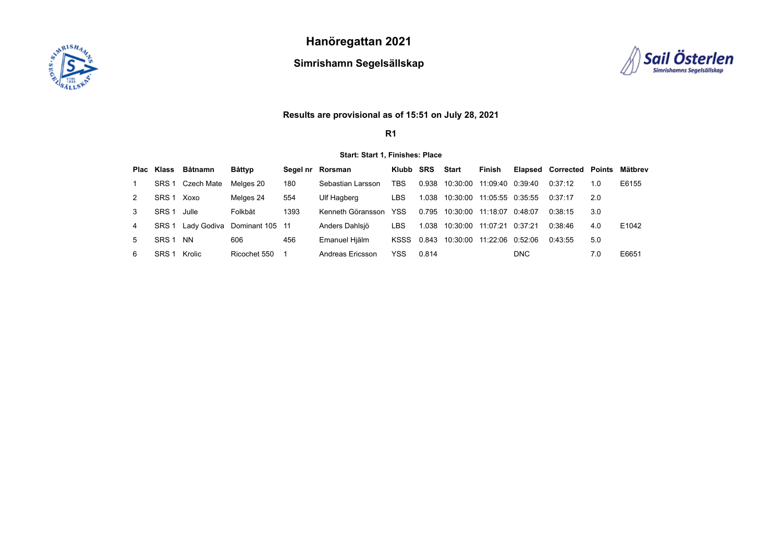

**Hanöregattan 2021**

**Simrishamn Segelsällskap**



## **Results are provisional as of 15:51 on July 28, 2021**

**R1**

#### **Start: Start 1, Finishes: Place**

|   |                  | Plac Klass Båtnamn | Båttyp                      |      | Segel nr Rorsman  | Klubb SRS  |            | Start                           | Finish           |            | Elapsed Corrected Points |     | Mätbrev |
|---|------------------|--------------------|-----------------------------|------|-------------------|------------|------------|---------------------------------|------------------|------------|--------------------------|-----|---------|
|   | SRS <sub>1</sub> | Czech Mate         | Melaes 20                   | 180  | Sebastian Larsson | TBS        | 0.938      | 10:30:00                        | 11:09:40 0:39:40 |            | 0.37.12                  | 1.0 | E6155   |
|   | SRS <sub>1</sub> | Xoxo               | Melges 24                   | 554  | Ulf Hagberg       | LBS        | 1.038      | 10:30:00 11:05:55 0:35:55       |                  |            | 0:37:17                  | 2.0 |         |
|   | SRS <sub>1</sub> | Julle              | Folkbåt                     | 1393 | Kenneth Göransson | <b>YSS</b> |            | 0.795 10:30:00 11:18:07 0:48:07 |                  |            | 0.38.15                  | 3.0 |         |
| 4 | SRS <sub>1</sub> |                    | Lady Godiva Dominant 105 11 |      | Anders Dahlsiö    | LBS        | 1.038      | 10:30:00                        | 11:07:21         | 0:37:21    | 0.38.46                  | 4.0 | E1042   |
|   | SRS <sub>1</sub> | <b>NN</b>          | 606                         | 456  | Emanuel Hjälm     |            | KSSS 0.843 | 10:30:00                        | 11:22:06 0:52:06 |            | 0.43.55                  | 5.0 |         |
| 6 | SRS <sub>1</sub> | Krolic             | Ricochet 550                |      | Andreas Fricsson  | YSS        | 0.814      |                                 |                  | <b>DNC</b> |                          | 7.0 | E6651   |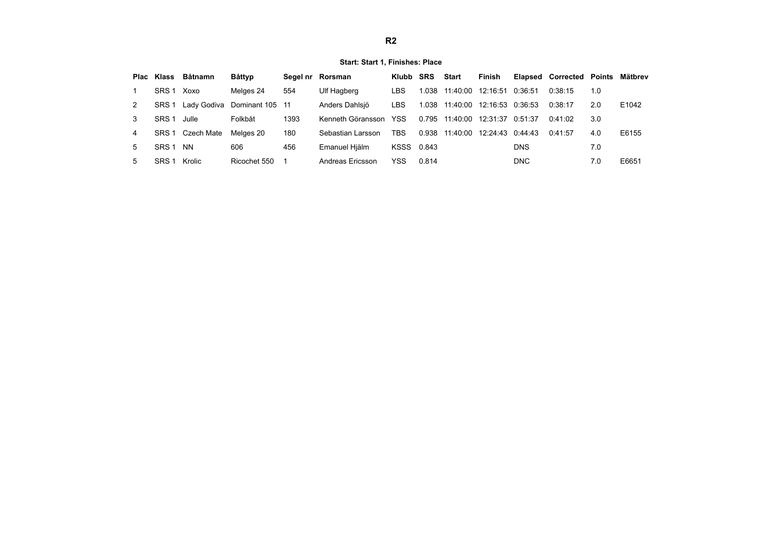### **Start: Start 1, Finishes: Place**

|    |                  | Plac Klass Båtnamn | Båttyp                      |      | Segel nr Rorsman  | Klubb SRS  |       | Start                           | Finish |            | <b>Elapsed Corrected Points</b> |     | Mätbrev |
|----|------------------|--------------------|-----------------------------|------|-------------------|------------|-------|---------------------------------|--------|------------|---------------------------------|-----|---------|
|    | SRS <sub>1</sub> | Xoxo               | Melges 24                   | 554  | Ulf Hagberg       | LBS        | 1.038 | 11:40:00  12:16:51  0:36:51     |        |            | 0:38:15                         | 1.0 |         |
| 2  | SRS 1            |                    | Lady Godiva Dominant 105 11 |      | Anders Dahlsiö    | LBS        |       | 1.038 11:40:00 12:16:53 0:36:53 |        |            | 0:38:17                         | 2.0 | E1042   |
| 3  | SRS 1            | Julle              | Folkbåt                     | 1393 | Kenneth Göransson | <b>YSS</b> |       | 0.795 11:40:00 12:31:37 0:51:37 |        |            | 0.41.02                         | 3.0 |         |
| 4  |                  | SRS 1 Czech Mate   | Melaes 20                   | 180  | Sebastian Larsson | TBS        |       | 0.938 11:40:00 12:24:43 0.44:43 |        |            | 0.41.57                         | 4.0 | E6155   |
| 5  | SRS 1            | <b>NN</b>          | 606                         | 456  | Emanuel Hiälm     | KSSS 0.843 |       |                                 |        | <b>DNS</b> |                                 | 7.0 |         |
| 5. | SRS <sub>1</sub> | Krolic             | Ricochet 550                |      | Andreas Ericsson  | <b>YSS</b> | 0.814 |                                 |        | DNC        |                                 | 7.0 | E6651   |